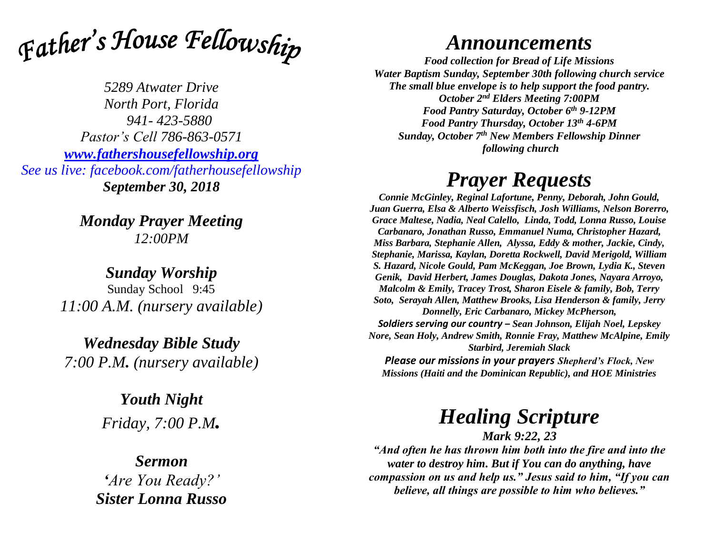

*5289 Atwater Drive North Port, Florida 941- 423-5880 Pastor's Cell 786-863-0571 [www.fathershousefellowship.org](http://www.fathershousefellowship.org/) See us live: facebook.com/fatherhousefellowship September 30, 2018*

> *Monday Prayer Meeting 12:00PM*

*Sunday Worship* Sunday School 9:45 *11:00 A.M. (nursery available)*

*Wednesday Bible Study 7:00 P.M. (nursery available)*

> *Youth Night Friday, 7:00 P.M.*

### *Sermon 'Are You Ready?' Sister Lonna Russo*

## *Announcements*

*Food collection for Bread of Life Missions Water Baptism Sunday, September 30th following church service The small blue envelope is to help support the food pantry. October 2nd Elders Meeting 7:00PM Food Pantry Saturday, October 6th 9-12PM Food Pantry Thursday, October 13th 4-6PM Sunday, October 7th New Members Fellowship Dinner following church*

## *Prayer Requests*

*Connie McGinley, Reginal Lafortune, Penny, Deborah, John Gould, Juan Guerra, Elsa & Alberto Weissfisch, Josh Williams, Nelson Borerro, Grace Maltese, Nadia, Neal Calello, Linda, Todd, Lonna Russo, Louise Carbanaro, Jonathan Russo, Emmanuel Numa, Christopher Hazard, Miss Barbara, Stephanie Allen, Alyssa, Eddy & mother, Jackie, Cindy, Stephanie, Marissa, Kaylan, Doretta Rockwell, David Merigold, William S. Hazard, Nicole Gould, Pam McKeggan, Joe Brown, Lydia K., Steven Genik, David Herbert, James Douglas, Dakota Jones, Nayara Arroyo, Malcolm & Emily, Tracey Trost, Sharon Eisele & family, Bob, Terry Soto, Serayah Allen, Matthew Brooks, Lisa Henderson & family, Jerry Donnelly, Eric Carbanaro, Mickey McPherson, Soldiers serving our country – Sean Johnson, Elijah Noel, Lepskey Nore, Sean Holy, Andrew Smith, Ronnie Fray, Matthew McAlpine, Emily Starbird, Jeremiah Slack*

*Please our missions in your prayers Shepherd's Flock, New Missions (Haiti and the Dominican Republic), and HOE Ministries*

# *Healing Scripture*

*Mark 9:22, 23 "And often he has thrown him both into the fire and into the water to destroy him. But if You can do anything, have compassion on us and help us." Jesus said to him, "If you can believe, all things are possible to him who believes."*